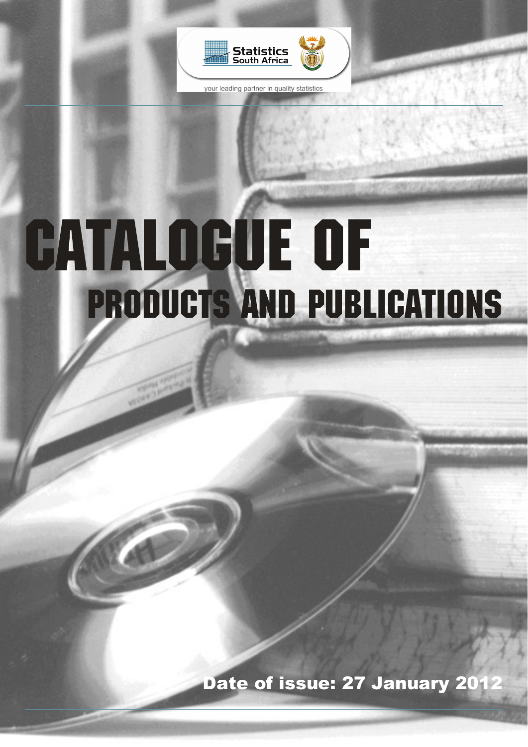

your leading partner in quality statistics

# **CATALOGUE OF** PRODUCTS AND PUBLICATIONS

Date of issue: 27 January 201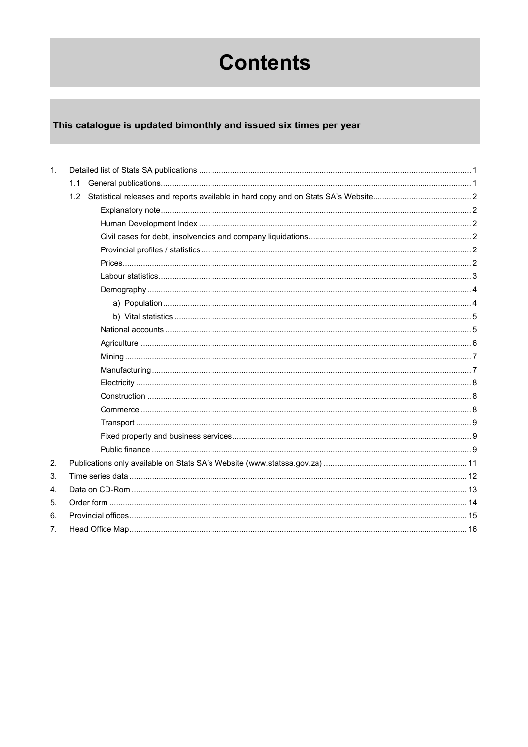# **Contents**

## This catalogue is updated bimonthly and issued six times per year

| $\mathbf{1}$ . |     |  |
|----------------|-----|--|
|                | 1.1 |  |
|                | 1.2 |  |
|                |     |  |
|                |     |  |
|                |     |  |
|                |     |  |
|                |     |  |
|                |     |  |
|                |     |  |
|                |     |  |
|                |     |  |
|                |     |  |
|                |     |  |
|                |     |  |
|                |     |  |
|                |     |  |
|                |     |  |
|                |     |  |
|                |     |  |
|                |     |  |
|                |     |  |
| 2.             |     |  |
| 3.             |     |  |
| 4.             |     |  |
| 5.             |     |  |
| 6.             |     |  |
| 7.             |     |  |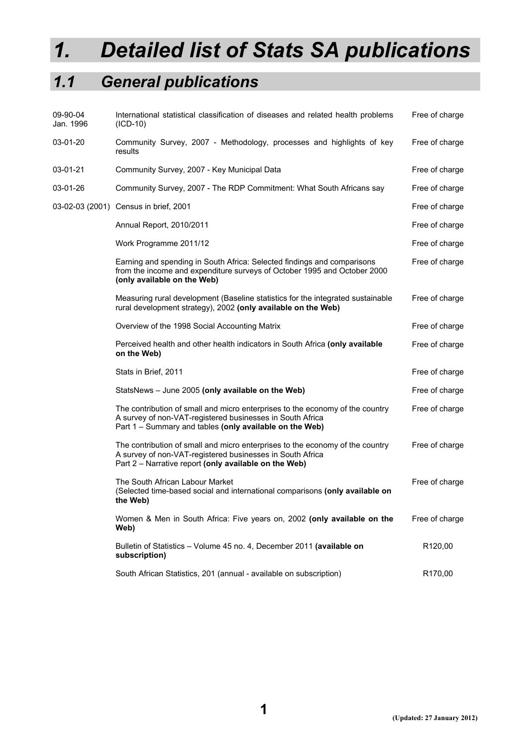# *1. Detailed list of Stats SA publications*

## *1.1 General publications*

| 09-90-04<br>Jan. 1996 | International statistical classification of diseases and related health problems<br>$(ICD-10)$                                                                                                        | Free of charge      |
|-----------------------|-------------------------------------------------------------------------------------------------------------------------------------------------------------------------------------------------------|---------------------|
| 03-01-20              | Community Survey, 2007 - Methodology, processes and highlights of key<br>results                                                                                                                      | Free of charge      |
| 03-01-21              | Community Survey, 2007 - Key Municipal Data                                                                                                                                                           | Free of charge      |
| 03-01-26              | Community Survey, 2007 - The RDP Commitment: What South Africans say                                                                                                                                  | Free of charge      |
|                       | 03-02-03 (2001) Census in brief, 2001                                                                                                                                                                 | Free of charge      |
|                       | Annual Report, 2010/2011                                                                                                                                                                              | Free of charge      |
|                       | Work Programme 2011/12                                                                                                                                                                                | Free of charge      |
|                       | Earning and spending in South Africa: Selected findings and comparisons<br>from the income and expenditure surveys of October 1995 and October 2000<br>(only available on the Web)                    | Free of charge      |
|                       | Measuring rural development (Baseline statistics for the integrated sustainable<br>rural development strategy), 2002 (only available on the Web)                                                      | Free of charge      |
|                       | Overview of the 1998 Social Accounting Matrix                                                                                                                                                         | Free of charge      |
|                       | Perceived health and other health indicators in South Africa (only available<br>on the Web)                                                                                                           | Free of charge      |
|                       | Stats in Brief, 2011                                                                                                                                                                                  | Free of charge      |
|                       | StatsNews - June 2005 (only available on the Web)                                                                                                                                                     | Free of charge      |
|                       | The contribution of small and micro enterprises to the economy of the country<br>A survey of non-VAT-registered businesses in South Africa<br>Part 1 - Summary and tables (only available on the Web) | Free of charge      |
|                       | The contribution of small and micro enterprises to the economy of the country<br>A survey of non-VAT-registered businesses in South Africa<br>Part 2 - Narrative report (only available on the Web)   | Free of charge      |
|                       | The South African Labour Market<br>(Selected time-based social and international comparisons (only available on<br>the Web)                                                                           | Free of charge      |
|                       | Women & Men in South Africa: Five years on, 2002 (only available on the<br>Web)                                                                                                                       | Free of charge      |
|                       | Bulletin of Statistics - Volume 45 no. 4, December 2011 (available on<br>subscription)                                                                                                                | R <sub>120,00</sub> |
|                       | South African Statistics, 201 (annual - available on subscription)                                                                                                                                    | R <sub>170,00</sub> |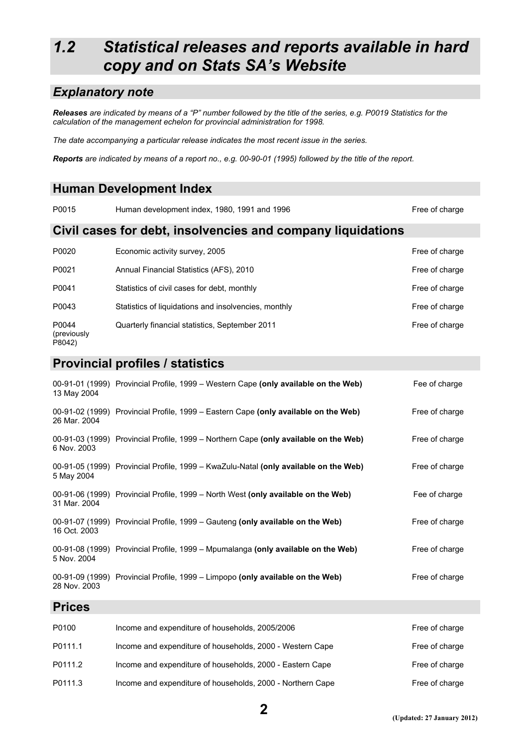## *1.2 Statistical releases and reports available in hard copy and on Stats SA's Website*

#### *Explanatory note*

*Releases are indicated by means of a "P" number followed by the title of the series, e.g. P0019 Statistics for the calculation of the management echelon for provincial administration for 1998.* 

*The date accompanying a particular release indicates the most recent issue in the series.* 

*Reports are indicated by means of a report no., e.g. 00-90-01 (1995) followed by the title of the report.*

#### **Human Development Index**

P0015 Human development index, 1980, 1991 and 1996 **Free of charge and report in the U**Free of charge

#### **Civil cases for debt, insolvencies and company liquidations**

| P0020                          | Economic activity survey, 2005                       | Free of charge |
|--------------------------------|------------------------------------------------------|----------------|
| P0021                          | Annual Financial Statistics (AFS), 2010              | Free of charge |
| P0041                          | Statistics of civil cases for debt, monthly          | Free of charge |
| P0043                          | Statistics of liquidations and insolvencies, monthly | Free of charge |
| P0044<br>(previously<br>P8042) | Quarterly financial statistics, September 2011       | Free of charge |

#### **Provincial profiles / statistics**

| 13 May 2004   | 00-91-01 (1999) Provincial Profile, 1999 – Western Cape (only available on the Web)  | Fee of charge  |
|---------------|--------------------------------------------------------------------------------------|----------------|
| 26 Mar. 2004  | 00-91-02 (1999) Provincial Profile, 1999 – Eastern Cape (only available on the Web)  | Free of charge |
| 6 Nov. 2003   | 00-91-03 (1999) Provincial Profile, 1999 – Northern Cape (only available on the Web) | Free of charge |
| 5 May 2004    | 00-91-05 (1999) Provincial Profile, 1999 – KwaZulu-Natal (only available on the Web) | Free of charge |
| 31 Mar. 2004  | 00-91-06 (1999) Provincial Profile, 1999 – North West (only available on the Web)    | Fee of charge  |
| 16 Oct. 2003  | 00-91-07 (1999) Provincial Profile, 1999 – Gauteng (only available on the Web)       | Free of charge |
| 5 Nov. 2004   | 00-91-08 (1999) Provincial Profile, 1999 – Mpumalanga (only available on the Web)    | Free of charge |
| 28 Nov. 2003  | 00-91-09 (1999) Provincial Profile, 1999 - Limpopo (only available on the Web)       | Free of charge |
| <b>Prices</b> |                                                                                      |                |
| P0100         | Income and expenditure of households, 2005/2006                                      | Free of charge |
| P0111.1       | Income and expenditure of households, 2000 - Western Cape                            | Free of charge |
| P0111.2       | Income and expenditure of households, 2000 - Eastern Cape                            | Free of charge |

P0111.3 Income and expenditure of households, 2000 - Northern Cape Free of charge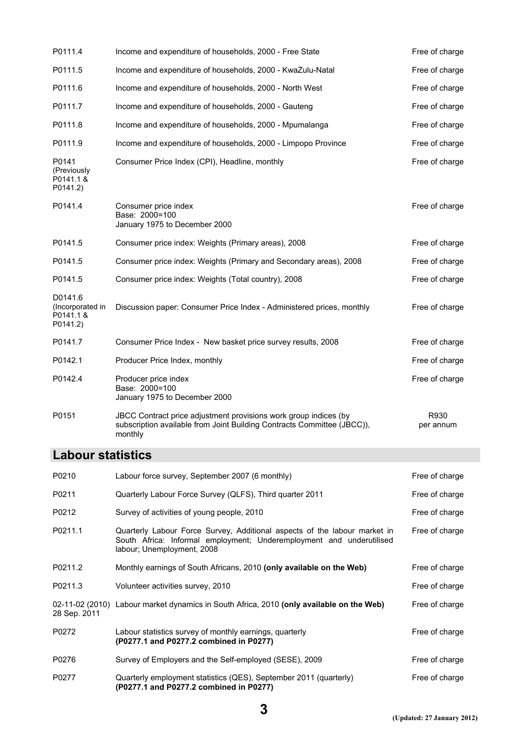| P0111.4                                              | Income and expenditure of households, 2000 - Free State                                                                                                | Free of charge    |
|------------------------------------------------------|--------------------------------------------------------------------------------------------------------------------------------------------------------|-------------------|
| P0111.5                                              | Income and expenditure of households, 2000 - KwaZulu-Natal                                                                                             | Free of charge    |
| P0111.6                                              | Income and expenditure of households, 2000 - North West                                                                                                | Free of charge    |
| P0111.7                                              | Income and expenditure of households, 2000 - Gauteng                                                                                                   | Free of charge    |
| P0111.8                                              | Income and expenditure of households, 2000 - Mpumalanga                                                                                                | Free of charge    |
| P0111.9                                              | Income and expenditure of households, 2000 - Limpopo Province                                                                                          | Free of charge    |
| P0141<br>(Previously<br>P0141.1 &<br>P0141.2)        | Consumer Price Index (CPI), Headline, monthly                                                                                                          | Free of charge    |
| P0141.4                                              | Consumer price index<br>Base: 2000=100<br>January 1975 to December 2000                                                                                | Free of charge    |
| P0141.5                                              | Consumer price index: Weights (Primary areas), 2008                                                                                                    | Free of charge    |
| P0141.5                                              | Consumer price index: Weights (Primary and Secondary areas), 2008                                                                                      | Free of charge    |
| P0141.5                                              | Consumer price index: Weights (Total country), 2008                                                                                                    | Free of charge    |
| D0141.6<br>(Incorporated in<br>P0141.1 &<br>P0141.2) | Discussion paper: Consumer Price Index - Administered prices, monthly                                                                                  | Free of charge    |
| P0141.7                                              | Consumer Price Index - New basket price survey results, 2008                                                                                           | Free of charge    |
| P0142.1                                              | Producer Price Index, monthly                                                                                                                          | Free of charge    |
| P0142.4                                              | Producer price index<br>Base: 2000=100<br>January 1975 to December 2000                                                                                | Free of charge    |
| P0151                                                | JBCC Contract price adjustment provisions work group indices (by<br>subscription available from Joint Building Contracts Committee (JBCC)),<br>monthly | R930<br>per annum |

#### **Labour statistics**

| P0210        | Labour force survey, September 2007 (6 monthly)                                                                                                                                 | Free of charge |
|--------------|---------------------------------------------------------------------------------------------------------------------------------------------------------------------------------|----------------|
| P0211        | Quarterly Labour Force Survey (QLFS), Third quarter 2011                                                                                                                        | Free of charge |
| P0212        | Survey of activities of young people, 2010                                                                                                                                      | Free of charge |
| P0211.1      | Quarterly Labour Force Survey, Additional aspects of the labour market in<br>South Africa: Informal employment; Underemployment and underutilised<br>labour; Unemployment, 2008 | Free of charge |
| P0211.2      | Monthly earnings of South Africans, 2010 (only available on the Web)                                                                                                            | Free of charge |
| P0211.3      | Volunteer activities survey, 2010                                                                                                                                               | Free of charge |
| 28 Sep. 2011 | 02-11-02 (2010) Labour market dynamics in South Africa, 2010 (only available on the Web)                                                                                        | Free of charge |
| P0272        | Labour statistics survey of monthly earnings, quarterly<br>(P0277.1 and P0277.2 combined in P0277)                                                                              | Free of charge |
| P0276        | Survey of Employers and the Self-employed (SESE), 2009                                                                                                                          | Free of charge |
| P0277        | Quarterly employment statistics (QES), September 2011 (quarterly)<br>(P0277.1 and P0277.2 combined in P0277)                                                                    | Free of charge |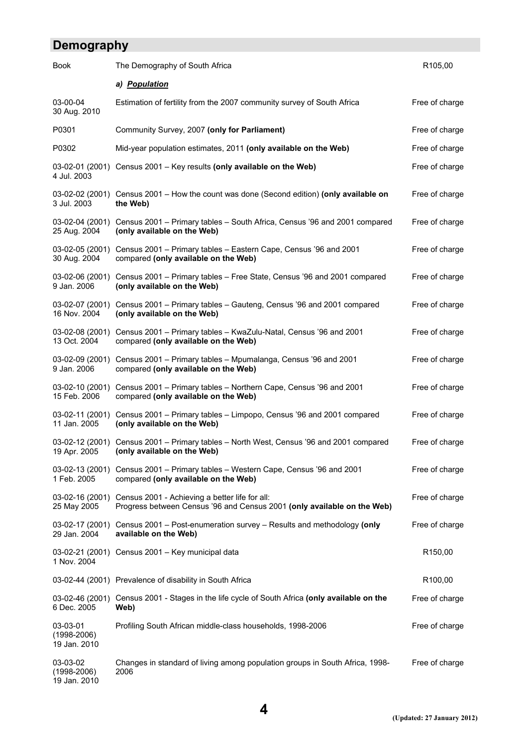## **Demography**

| <b>Book</b>                                 | The Demography of South Africa                                                                                                            | R <sub>105,00</sub> |
|---------------------------------------------|-------------------------------------------------------------------------------------------------------------------------------------------|---------------------|
|                                             | a) <b>Population</b>                                                                                                                      |                     |
| 03-00-04<br>30 Aug. 2010                    | Estimation of fertility from the 2007 community survey of South Africa                                                                    | Free of charge      |
| P0301                                       | Community Survey, 2007 (only for Parliament)                                                                                              | Free of charge      |
| P0302                                       | Mid-year population estimates, 2011 (only available on the Web)                                                                           | Free of charge      |
| 03-02-01 (2001)<br>4 Jul. 2003              | Census 2001 - Key results (only available on the Web)                                                                                     | Free of charge      |
| 3 Jul. 2003                                 | 03-02-02 (2001) Census 2001 – How the count was done (Second edition) (only available on<br>the Web)                                      | Free of charge      |
| 03-02-04 (2001)<br>25 Aug. 2004             | Census 2001 - Primary tables - South Africa, Census '96 and 2001 compared<br>(only available on the Web)                                  | Free of charge      |
| 03-02-05 (2001)<br>30 Aug. 2004             | Census 2001 - Primary tables - Eastern Cape, Census '96 and 2001<br>compared (only available on the Web)                                  | Free of charge      |
| 03-02-06 (2001)<br>9 Jan. 2006              | Census 2001 - Primary tables - Free State, Census '96 and 2001 compared<br>(only available on the Web)                                    | Free of charge      |
| 03-02-07 (2001)<br>16 Nov. 2004             | Census 2001 - Primary tables - Gauteng, Census '96 and 2001 compared<br>(only available on the Web)                                       | Free of charge      |
| 03-02-08 (2001)<br>13 Oct. 2004             | Census 2001 - Primary tables - KwaZulu-Natal, Census '96 and 2001<br>compared (only available on the Web)                                 | Free of charge      |
| 03-02-09 (2001)<br>9 Jan. 2006              | Census 2001 - Primary tables - Mpumalanga, Census '96 and 2001<br>compared (only available on the Web)                                    | Free of charge      |
| 03-02-10 (2001)<br>15 Feb. 2006             | Census 2001 - Primary tables - Northern Cape, Census '96 and 2001<br>compared (only available on the Web)                                 | Free of charge      |
| 03-02-11 (2001)<br>11 Jan. 2005             | Census 2001 - Primary tables - Limpopo, Census '96 and 2001 compared<br>(only available on the Web)                                       | Free of charge      |
| 03-02-12 (2001)<br>19 Apr. 2005             | Census 2001 - Primary tables - North West, Census '96 and 2001 compared<br>(only available on the Web)                                    | Free of charge      |
| 1 Feb. 2005                                 | 03-02-13 (2001) Census 2001 - Primary tables - Western Cape, Census '96 and 2001<br>compared (only available on the Web)                  | Free of charge      |
| 25 May 2005                                 | 03-02-16 (2001) Census 2001 - Achieving a better life for all:<br>Progress between Census '96 and Census 2001 (only available on the Web) | Free of charge      |
| 29 Jan. 2004                                | 03-02-17 (2001) Census 2001 - Post-enumeration survey - Results and methodology (only<br>available on the Web)                            | Free of charge      |
| 1 Nov. 2004                                 | 03-02-21 (2001) Census 2001 - Key municipal data                                                                                          | R <sub>150,00</sub> |
|                                             | 03-02-44 (2001) Prevalence of disability in South Africa                                                                                  | R <sub>100,00</sub> |
| 6 Dec. 2005                                 | 03-02-46 (2001) Census 2001 - Stages in the life cycle of South Africa (only available on the<br>Web)                                     | Free of charge      |
| 03-03-01<br>$(1998 - 2006)$<br>19 Jan. 2010 | Profiling South African middle-class households, 1998-2006                                                                                | Free of charge      |
| 03-03-02<br>$(1998 - 2006)$<br>19 Jan. 2010 | Changes in standard of living among population groups in South Africa, 1998-<br>2006                                                      | Free of charge      |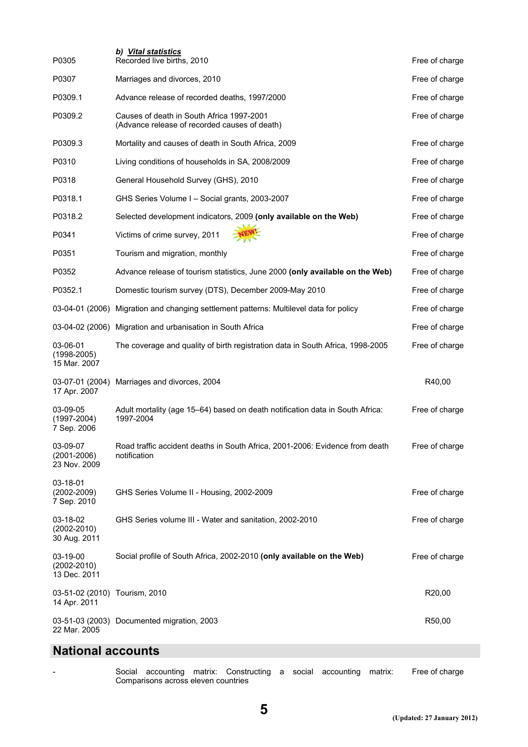| P0305                                         | b) Vital statistics<br>Recorded live births, 2010                                            | Free of charge |
|-----------------------------------------------|----------------------------------------------------------------------------------------------|----------------|
| P0307                                         | Marriages and divorces, 2010                                                                 | Free of charge |
| P0309.1                                       | Advance release of recorded deaths, 1997/2000                                                | Free of charge |
| P0309.2                                       | Causes of death in South Africa 1997-2001<br>(Advance release of recorded causes of death)   | Free of charge |
| P0309.3                                       | Mortality and causes of death in South Africa, 2009                                          | Free of charge |
| P0310                                         | Living conditions of households in SA, 2008/2009                                             | Free of charge |
| P0318                                         | General Household Survey (GHS), 2010                                                         | Free of charge |
| P0318.1                                       | GHS Series Volume I - Social grants, 2003-2007                                               | Free of charge |
| P0318.2                                       | Selected development indicators, 2009 (only available on the Web)                            | Free of charge |
| P0341                                         | Victims of crime survey, 2011                                                                | Free of charge |
| P0351                                         | Tourism and migration, monthly                                                               | Free of charge |
| P0352                                         | Advance release of tourism statistics, June 2000 (only available on the Web)                 | Free of charge |
| P0352.1                                       | Domestic tourism survey (DTS), December 2009-May 2010                                        | Free of charge |
|                                               | 03-04-01 (2006) Migration and changing settlement patterns: Multilevel data for policy       | Free of charge |
|                                               | 03-04-02 (2006) Migration and urbanisation in South Africa                                   | Free of charge |
| 03-06-01<br>$(1998 - 2005)$<br>15 Mar. 2007   | The coverage and quality of birth registration data in South Africa, 1998-2005               | Free of charge |
| 03-07-01 (2004)<br>17 Apr. 2007               | Marriages and divorces, 2004                                                                 | R40,00         |
| 03-09-05<br>$(1997 - 2004)$<br>7 Sep. 2006    | Adult mortality (age 15-64) based on death notification data in South Africa:<br>1997-2004   | Free of charge |
| 03-09-07<br>$(2001 - 2006)$<br>23 Nov. 2009   | Road traffic accident deaths in South Africa, 2001-2006: Evidence from death<br>notification | Free of charge |
| 03-18-01<br>$(2002 - 2009)$<br>7 Sep. 2010    | GHS Series Volume II - Housing, 2002-2009                                                    | Free of charge |
| 03-18-02<br>$(2002 - 2010)$<br>30 Aug. 2011   | GHS Series volume III - Water and sanitation, 2002-2010                                      | Free of charge |
| 03-19-00<br>$(2002 - 2010)$<br>13 Dec. 2011   | Social profile of South Africa, 2002-2010 (only available on the Web)                        | Free of charge |
| 03-51-02 (2010) Tourism, 2010<br>14 Apr. 2011 |                                                                                              | R20,00         |
| 22 Mar. 2005                                  | 03-51-03 (2003) Documented migration, 2003                                                   | R50,00         |

#### **National accounts**

- Social accounting matrix: Constructing a social accounting matrix: Comparisons across eleven countries Free of charge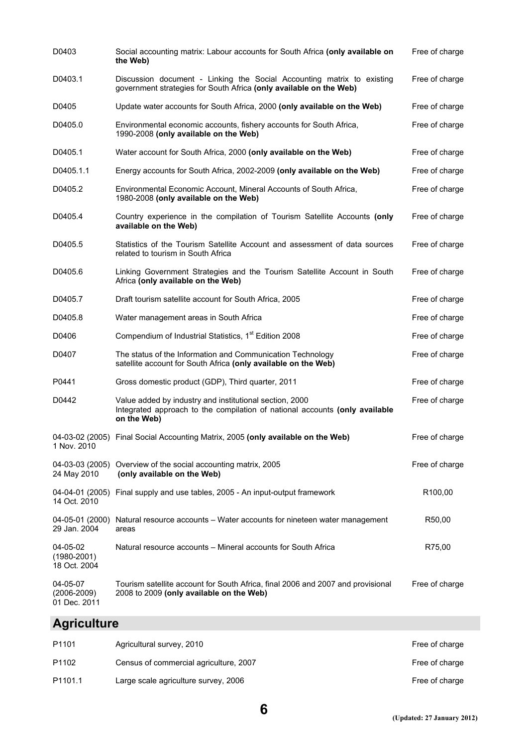| D0403                                       | Social accounting matrix: Labour accounts for South Africa (only available on<br>the Web)                                                             | Free of charge      |
|---------------------------------------------|-------------------------------------------------------------------------------------------------------------------------------------------------------|---------------------|
| D0403.1                                     | Discussion document - Linking the Social Accounting matrix to existing<br>government strategies for South Africa (only available on the Web)          | Free of charge      |
| D0405                                       | Update water accounts for South Africa, 2000 (only available on the Web)                                                                              | Free of charge      |
| D0405.0                                     | Environmental economic accounts, fishery accounts for South Africa,<br>1990-2008 (only available on the Web)                                          | Free of charge      |
| D0405.1                                     | Water account for South Africa, 2000 (only available on the Web)                                                                                      | Free of charge      |
| D0405.1.1                                   | Energy accounts for South Africa, 2002-2009 (only available on the Web)                                                                               | Free of charge      |
| D0405.2                                     | Environmental Economic Account, Mineral Accounts of South Africa,<br>1980-2008 (only available on the Web)                                            | Free of charge      |
| D0405.4                                     | Country experience in the compilation of Tourism Satellite Accounts (only<br>available on the Web)                                                    | Free of charge      |
| D0405.5                                     | Statistics of the Tourism Satellite Account and assessment of data sources<br>related to tourism in South Africa                                      | Free of charge      |
| D0405.6                                     | Linking Government Strategies and the Tourism Satellite Account in South<br>Africa (only available on the Web)                                        | Free of charge      |
| D0405.7                                     | Draft tourism satellite account for South Africa, 2005                                                                                                | Free of charge      |
| D0405.8                                     | Water management areas in South Africa                                                                                                                | Free of charge      |
| D0406                                       | Compendium of Industrial Statistics, 1 <sup>st</sup> Edition 2008                                                                                     | Free of charge      |
| D0407                                       | The status of the Information and Communication Technology<br>satellite account for South Africa (only available on the Web)                          | Free of charge      |
| P0441                                       | Gross domestic product (GDP), Third quarter, 2011                                                                                                     | Free of charge      |
| D0442                                       | Value added by industry and institutional section, 2000<br>Integrated approach to the compilation of national accounts (only available<br>on the Web) | Free of charge      |
| 1 Nov. 2010                                 | 04-03-02 (2005) Final Social Accounting Matrix, 2005 (only available on the Web)                                                                      | Free of charge      |
| 24 May 2010                                 | 04-03-03 (2005) Overview of the social accounting matrix, 2005<br>(only available on the Web)                                                         | Free of charge      |
| 14 Oct. 2010                                | 04-04-01 (2005) Final supply and use tables, 2005 - An input-output framework                                                                         | R <sub>100,00</sub> |
| 04-05-01 (2000)<br>29 Jan. 2004             | Natural resource accounts – Water accounts for nineteen water management<br>areas                                                                     | R50,00              |
| 04-05-02<br>$(1980 - 2001)$<br>18 Oct. 2004 | Natural resource accounts - Mineral accounts for South Africa                                                                                         | R75,00              |
| 04-05-07<br>$(2006 - 2009)$<br>01 Dec. 2011 | Tourism satellite account for South Africa, final 2006 and 2007 and provisional<br>2008 to 2009 (only available on the Web)                           | Free of charge      |

#### **Agriculture**

| P <sub>1101</sub>   | Agricultural survey, 2010              | Free of charge |
|---------------------|----------------------------------------|----------------|
| P1102               | Census of commercial agriculture, 2007 | Free of charge |
| P <sub>1101.1</sub> | Large scale agriculture survey, 2006   | Free of charge |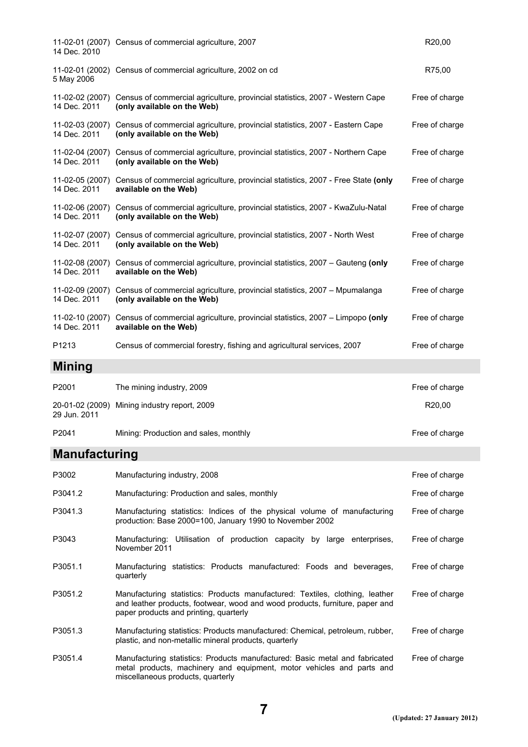| 14 Dec. 2010                    | 11-02-01 (2007) Census of commercial agriculture, 2007                                                                       | R20,00         |
|---------------------------------|------------------------------------------------------------------------------------------------------------------------------|----------------|
| 5 May 2006                      | 11-02-01 (2002) Census of commercial agriculture, 2002 on cd                                                                 | R75,00         |
| 14 Dec. 2011                    | 11-02-02 (2007) Census of commercial agriculture, provincial statistics, 2007 - Western Cape<br>(only available on the Web)  | Free of charge |
| 11-02-03 (2007)<br>14 Dec. 2011 | Census of commercial agriculture, provincial statistics, 2007 - Eastern Cape<br>(only available on the Web)                  | Free of charge |
| 14 Dec. 2011                    | 11-02-04 (2007) Census of commercial agriculture, provincial statistics, 2007 - Northern Cape<br>(only available on the Web) | Free of charge |
| 14 Dec. 2011                    | 11-02-05 (2007) Census of commercial agriculture, provincial statistics, 2007 - Free State (only<br>available on the Web)    | Free of charge |
| 11-02-06 (2007)<br>14 Dec. 2011 | Census of commercial agriculture, provincial statistics, 2007 - KwaZulu-Natal<br>(only available on the Web)                 | Free of charge |
| 14 Dec. 2011                    | 11-02-07 (2007) Census of commercial agriculture, provincial statistics, 2007 - North West<br>(only available on the Web)    | Free of charge |
| 14 Dec. 2011                    | 11-02-08 (2007) Census of commercial agriculture, provincial statistics, 2007 - Gauteng (only<br>available on the Web)       | Free of charge |
| 11-02-09 (2007)<br>14 Dec. 2011 | Census of commercial agriculture, provincial statistics, 2007 – Mpumalanga<br>(only available on the Web)                    | Free of charge |
| 14 Dec. 2011                    | 11-02-10 (2007) Census of commercial agriculture, provincial statistics, 2007 - Limpopo (only<br>available on the Web)       | Free of charge |
| P <sub>1213</sub>               | Census of commercial forestry, fishing and agricultural services, 2007                                                       | Free of charge |
| <b>Mining</b>                   |                                                                                                                              |                |
| P2001                           | The mining industry, 2009                                                                                                    | Free of charge |
| 29 Jun. 2011                    | 20-01-02 (2009) Mining industry report, 2009                                                                                 | R20,00         |

#### **Manufacturing**

| P3002   | Manufacturing industry, 2008                                                                                                                                                                           | Free of charge |
|---------|--------------------------------------------------------------------------------------------------------------------------------------------------------------------------------------------------------|----------------|
| P3041.2 | Manufacturing: Production and sales, monthly                                                                                                                                                           | Free of charge |
| P3041.3 | Manufacturing statistics: Indices of the physical volume of manufacturing<br>production: Base 2000=100, January 1990 to November 2002                                                                  | Free of charge |
| P3043   | Manufacturing: Utilisation of production capacity by large enterprises,<br>November 2011                                                                                                               | Free of charge |
| P3051.1 | Manufacturing statistics: Products manufactured: Foods and beverages,<br>quarterly                                                                                                                     | Free of charge |
| P3051.2 | Manufacturing statistics: Products manufactured: Textiles, clothing, leather<br>and leather products, footwear, wood and wood products, furniture, paper and<br>paper products and printing, quarterly | Free of charge |
| P3051.3 | Manufacturing statistics: Products manufactured: Chemical, petroleum, rubber,<br>plastic, and non-metallic mineral products, quarterly                                                                 | Free of charge |
| P3051.4 | Manufacturing statistics: Products manufactured: Basic metal and fabricated<br>metal products, machinery and equipment, motor vehicles and parts and<br>miscellaneous products, quarterly              | Free of charge |

P2041 Mining: Production and sales, monthly matches and the entry of charge Free of charge

**7**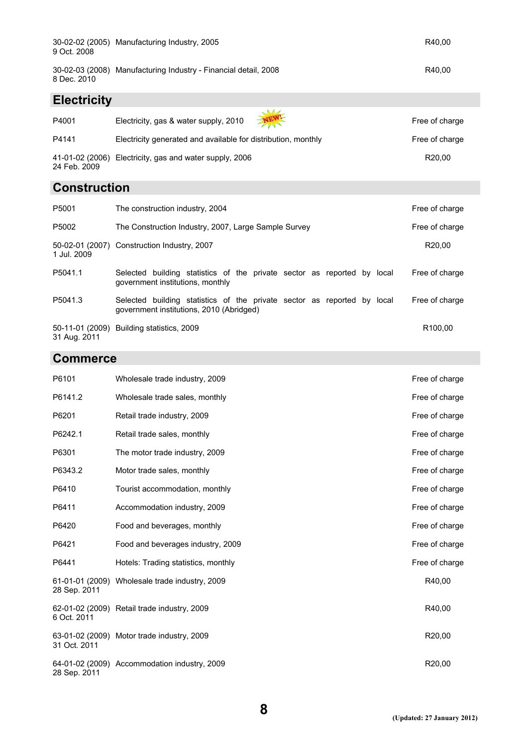| 9 Oct. 2008        | 30-02-02 (2005) Manufacturing Industry, 2005                    | R40.00 |
|--------------------|-----------------------------------------------------------------|--------|
| 8 Dec. 2010        | 30-02-03 (2008) Manufacturing Industry - Financial detail, 2008 | R40.00 |
| <b>Electricity</b> |                                                                 |        |
|                    | $\sqrt{2}$                                                      |        |

| P4001        | Electricity, gas & water supply, 2010                         | Free of charge     |
|--------------|---------------------------------------------------------------|--------------------|
| P4141        | Electricity generated and available for distribution, monthly | Free of charge     |
| 24 Feb. 2009 | 41-01-02 (2006) Electricity, gas and water supply, 2006       | R <sub>20.00</sub> |

#### **Construction**

| P5001        | The construction industry, 2004                                                                                     | Free of charge      |
|--------------|---------------------------------------------------------------------------------------------------------------------|---------------------|
| P5002        | The Construction Industry, 2007, Large Sample Survey                                                                | Free of charge      |
| 1 Jul. 2009  | 50-02-01 (2007) Construction Industry, 2007                                                                         | R <sub>20.00</sub>  |
| P5041.1      | building statistics of the private sector as reported by local<br>Selected<br>government institutions, monthly      | Free of charge      |
| P5041.3      | Selected building statistics of the private sector as reported by local<br>government institutions, 2010 (Abridged) | Free of charge      |
| 31 Aug. 2011 | 50-11-01 (2009) Building statistics, 2009                                                                           | R <sub>100.00</sub> |

#### **Commerce**

| P6101        | Wholesale trade industry, 2009                 | Free of charge      |
|--------------|------------------------------------------------|---------------------|
| P6141.2      | Wholesale trade sales, monthly                 | Free of charge      |
| P6201        | Retail trade industry, 2009                    | Free of charge      |
| P6242.1      | Retail trade sales, monthly                    | Free of charge      |
| P6301        | The motor trade industry, 2009                 | Free of charge      |
| P6343.2      | Motor trade sales, monthly                     | Free of charge      |
| P6410        | Tourist accommodation, monthly                 | Free of charge      |
| P6411        | Accommodation industry, 2009                   | Free of charge      |
| P6420        | Food and beverages, monthly                    | Free of charge      |
| P6421        | Food and beverages industry, 2009              | Free of charge      |
| P6441        | Hotels: Trading statistics, monthly            | Free of charge      |
| 28 Sep. 2011 | 61-01-01 (2009) Wholesale trade industry, 2009 | R40,00              |
| 6 Oct. 2011  | 62-01-02 (2009) Retail trade industry, 2009    | R40,00              |
| 31 Oct. 2011 | 63-01-02 (2009) Motor trade industry, 2009     | R20,00              |
| 28 Sep. 2011 | 64-01-02 (2009) Accommodation industry, 2009   | R <sub>20</sub> ,00 |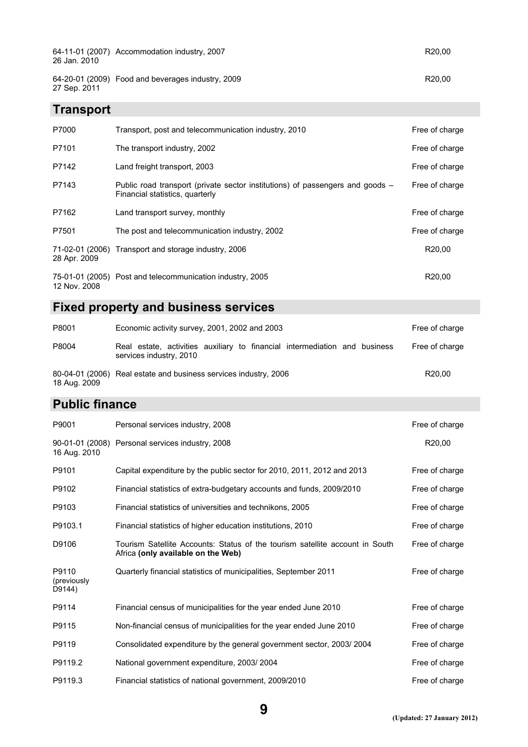| <b>Transport</b> |                                                   |        |
|------------------|---------------------------------------------------|--------|
| 27 Sep. 2011     | 64-20-01 (2009) Food and beverages industry, 2009 | R20,00 |
| 26 Jan. 2010     | 64-11-01 (2007) Accommodation industry, 2007      | R20,00 |

| P7000        | Transport, post and telecommunication industry, 2010                                                             | Free of charge     |
|--------------|------------------------------------------------------------------------------------------------------------------|--------------------|
| P7101        | The transport industry, 2002                                                                                     | Free of charge     |
| P7142        | Land freight transport, 2003                                                                                     | Free of charge     |
| P7143        | Public road transport (private sector institutions) of passengers and goods –<br>Financial statistics, quarterly | Free of charge     |
| P7162        | Land transport survey, monthly                                                                                   | Free of charge     |
| P7501        | The post and telecommunication industry, 2002                                                                    | Free of charge     |
| 28 Apr. 2009 | 71-02-01 (2006) Transport and storage industry, 2006                                                             | R <sub>20.00</sub> |
| 12 Nov. 2008 | 75-01-01 (2005) Post and telecommunication industry, 2005                                                        | R <sub>20.00</sub> |

#### **Fixed property and business services**

| P8001        | Economic activity survey, 2001, 2002 and 2003                                                         | Free of charge     |
|--------------|-------------------------------------------------------------------------------------------------------|--------------------|
| P8004        | Real estate, activities auxiliary to financial intermediation and business<br>services industry, 2010 | Free of charge     |
| 18 Aug. 2009 | 80-04-01 (2006) Real estate and business services industry, 2006                                      | R <sub>20.00</sub> |

#### **Public finance**

| P9001                          | Personal services industry, 2008                                                                                   | Free of charge     |
|--------------------------------|--------------------------------------------------------------------------------------------------------------------|--------------------|
| 16 Aug. 2010                   | 90-01-01 (2008) Personal services industry, 2008                                                                   | R <sub>20,00</sub> |
| P9101                          | Capital expenditure by the public sector for 2010, 2011, 2012 and 2013                                             | Free of charge     |
| P9102                          | Financial statistics of extra-budgetary accounts and funds, 2009/2010                                              | Free of charge     |
| P9103                          | Financial statistics of universities and technikons, 2005                                                          | Free of charge     |
| P9103.1                        | Financial statistics of higher education institutions, 2010                                                        | Free of charge     |
| D9106                          | Tourism Satellite Accounts: Status of the tourism satellite account in South<br>Africa (only available on the Web) | Free of charge     |
| P9110<br>(previously<br>D9144) | Quarterly financial statistics of municipalities, September 2011                                                   | Free of charge     |
| P9114                          | Financial census of municipalities for the year ended June 2010                                                    | Free of charge     |
| P9115                          | Non-financial census of municipalities for the year ended June 2010                                                | Free of charge     |
| P9119                          | Consolidated expenditure by the general government sector, 2003/2004                                               | Free of charge     |
| P9119.2                        | National government expenditure, 2003/2004                                                                         | Free of charge     |
| P9119.3                        | Financial statistics of national government, 2009/2010                                                             | Free of charge     |

**9**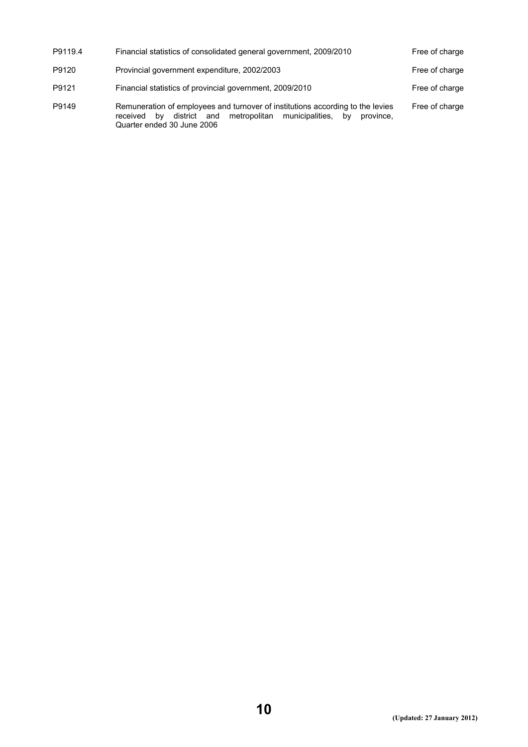| P9119.4 | Financial statistics of consolidated general government, 2009/2010                                                                                                                             | Free of charge |
|---------|------------------------------------------------------------------------------------------------------------------------------------------------------------------------------------------------|----------------|
| P9120   | Provincial government expenditure, 2002/2003                                                                                                                                                   | Free of charge |
| P9121   | Financial statistics of provincial government, 2009/2010                                                                                                                                       | Free of charge |
| P9149   | Remuneration of employees and turnover of institutions according to the levies<br>district and metropolitan municipalities,<br>bv<br>province.<br>received<br>bv<br>Quarter ended 30 June 2006 | Free of charge |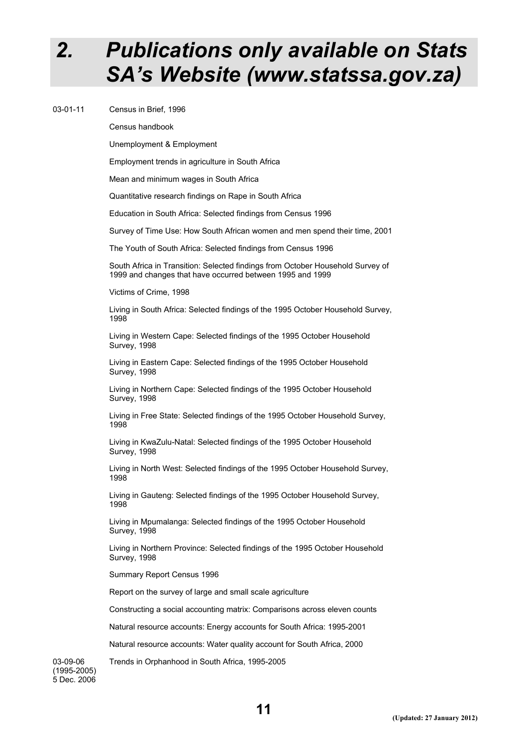## *2. Publications only available on Stats SA's Website (www.statssa.gov.za)*

03-01-11 Census in Brief, 1996

Census handbook

Unemployment & Employment

Employment trends in agriculture in South Africa

Mean and minimum wages in South Africa

Quantitative research findings on Rape in South Africa

Education in South Africa: Selected findings from Census 1996

Survey of Time Use: How South African women and men spend their time, 2001

The Youth of South Africa: Selected findings from Census 1996

South Africa in Transition: Selected findings from October Household Survey of 1999 and changes that have occurred between 1995 and 1999

Victims of Crime, 1998

Living in South Africa: Selected findings of the 1995 October Household Survey, 1998

Living in Western Cape: Selected findings of the 1995 October Household Survey, 1998

Living in Eastern Cape: Selected findings of the 1995 October Household Survey, 1998

Living in Northern Cape: Selected findings of the 1995 October Household Survey, 1998

Living in Free State: Selected findings of the 1995 October Household Survey, 1998

Living in KwaZulu-Natal: Selected findings of the 1995 October Household Survey, 1998

Living in North West: Selected findings of the 1995 October Household Survey, 1998

Living in Gauteng: Selected findings of the 1995 October Household Survey, 1998

Living in Mpumalanga: Selected findings of the 1995 October Household Survey, 1998

Living in Northern Province: Selected findings of the 1995 October Household Survey, 1998

Summary Report Census 1996

Report on the survey of large and small scale agriculture

Constructing a social accounting matrix: Comparisons across eleven counts

Natural resource accounts: Energy accounts for South Africa: 1995-2001

Natural resource accounts: Water quality account for South Africa, 2000

Trends in Orphanhood in South Africa, 1995-2005

03-09-06 (1995-2005) 5 Dec. 2006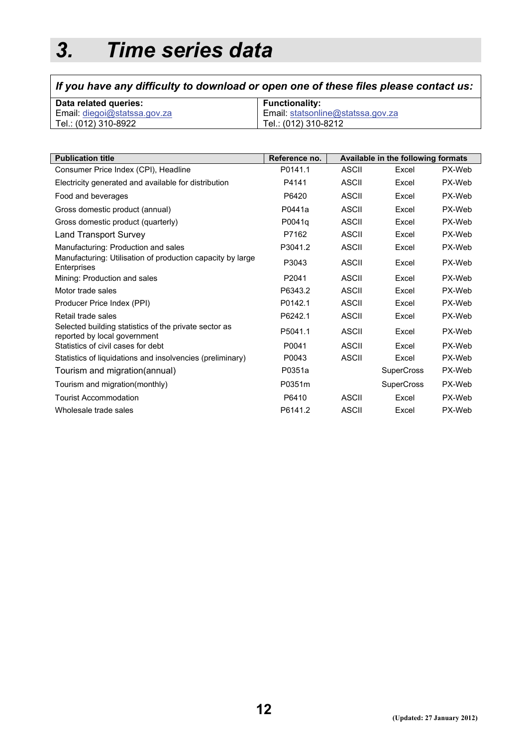# *3. Time series data*

## *If you have any difficulty to download or open one of these files please contact us:*

| Data related queries:        | <b>Functionality:</b>             |
|------------------------------|-----------------------------------|
| Email: diegoi@statssa.gov.za | Email: statsonline@statssa.gov.za |
| Tel.: (012) 310-8922         | Tel.: (012) 310-8212              |

| <b>Publication title</b>                                                              | Reference no. |              | Available in the following formats |        |
|---------------------------------------------------------------------------------------|---------------|--------------|------------------------------------|--------|
| Consumer Price Index (CPI), Headline                                                  | P0141.1       | <b>ASCII</b> | Excel                              | PX-Web |
| Electricity generated and available for distribution                                  | P4141         | ASCII        | Excel                              | PX-Web |
| Food and beverages                                                                    | P6420         | <b>ASCII</b> | Excel                              | PX-Web |
| Gross domestic product (annual)                                                       | P0441a        | <b>ASCII</b> | Excel                              | PX-Web |
| Gross domestic product (quarterly)                                                    | P0041q        | <b>ASCII</b> | Excel                              | PX-Web |
| <b>Land Transport Survey</b>                                                          | P7162         | ASCII        | Excel                              | PX-Web |
| Manufacturing: Production and sales                                                   | P3041.2       | <b>ASCII</b> | Excel                              | PX-Web |
| Manufacturing: Utilisation of production capacity by large<br>Enterprises             | P3043         | ASCII        | Excel                              | PX-Web |
| Mining: Production and sales                                                          | P2041         | <b>ASCII</b> | Excel                              | PX-Web |
| Motor trade sales                                                                     | P6343.2       | ASCII        | Excel                              | PX-Web |
| Producer Price Index (PPI)                                                            | P0142.1       | <b>ASCII</b> | Excel                              | PX-Web |
| Retail trade sales                                                                    | P6242.1       | ASCII        | Excel                              | PX-Web |
| Selected building statistics of the private sector as<br>reported by local government | P5041.1       | <b>ASCII</b> | Excel                              | PX-Web |
| Statistics of civil cases for debt                                                    | P0041         | <b>ASCII</b> | Excel                              | PX-Web |
| Statistics of liquidations and insolvencies (preliminary)                             | P0043         | <b>ASCII</b> | Excel                              | PX-Web |
| Tourism and migration(annual)                                                         | P0351a        |              | <b>SuperCross</b>                  | PX-Web |
| Tourism and migration(monthly)                                                        | P0351m        |              | <b>SuperCross</b>                  | PX-Web |
| <b>Tourist Accommodation</b>                                                          | P6410         | <b>ASCII</b> | Excel                              | PX-Web |
| Wholesale trade sales                                                                 | P6141.2       | <b>ASCII</b> | Excel                              | PX-Web |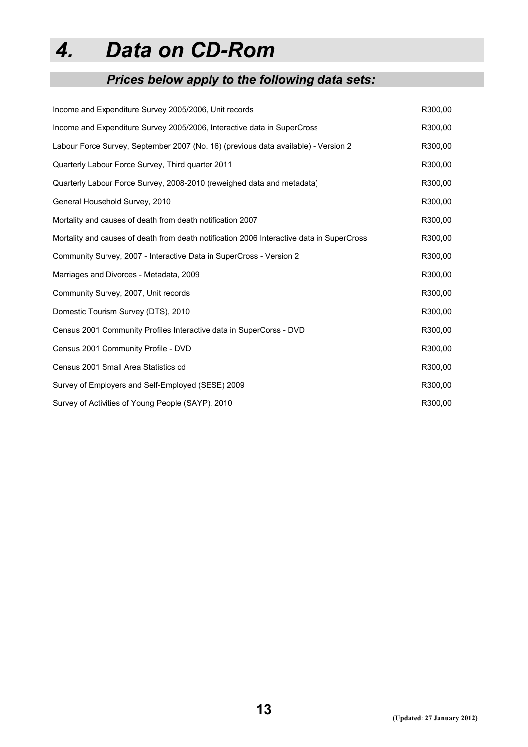# *4. Data on CD-Rom*

## *Prices below apply to the following data sets:*

| Income and Expenditure Survey 2005/2006, Unit records                                     | R300,00 |
|-------------------------------------------------------------------------------------------|---------|
| Income and Expenditure Survey 2005/2006, Interactive data in SuperCross                   | R300,00 |
| Labour Force Survey, September 2007 (No. 16) (previous data available) - Version 2        | R300,00 |
| Quarterly Labour Force Survey, Third quarter 2011                                         | R300,00 |
| Quarterly Labour Force Survey, 2008-2010 (reweighed data and metadata)                    | R300,00 |
| General Household Survey, 2010                                                            | R300,00 |
| Mortality and causes of death from death notification 2007                                | R300,00 |
| Mortality and causes of death from death notification 2006 Interactive data in SuperCross | R300,00 |
| Community Survey, 2007 - Interactive Data in SuperCross - Version 2                       | R300,00 |
| Marriages and Divorces - Metadata, 2009                                                   | R300,00 |
| Community Survey, 2007, Unit records                                                      | R300,00 |
| Domestic Tourism Survey (DTS), 2010                                                       | R300,00 |
| Census 2001 Community Profiles Interactive data in SuperCorss - DVD                       | R300,00 |
| Census 2001 Community Profile - DVD                                                       | R300,00 |
| Census 2001 Small Area Statistics cd                                                      | R300,00 |
| Survey of Employers and Self-Employed (SESE) 2009                                         | R300,00 |
| Survey of Activities of Young People (SAYP), 2010                                         | R300,00 |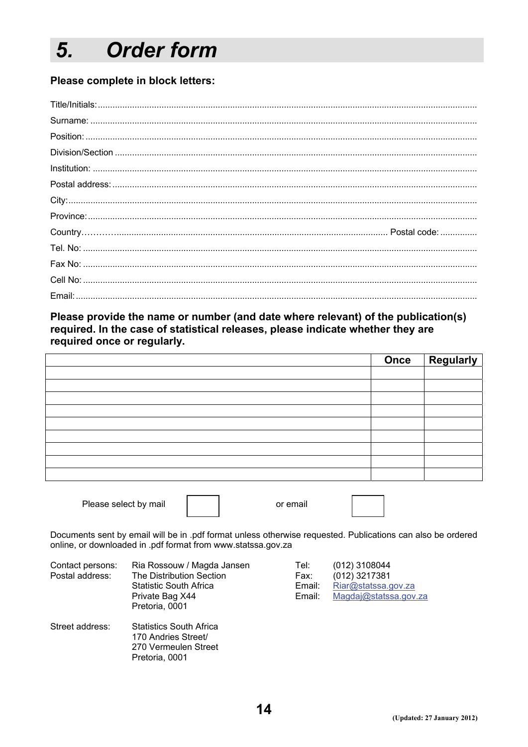#### **Order form** 5.

#### Please complete in block letters:

Please provide the name or number (and date where relevant) of the publication(s) required. In the case of statistical releases, please indicate whether they are required once or regularly.

|  | Once Regularly |
|--|----------------|
|  |                |
|  |                |
|  |                |
|  |                |
|  |                |
|  |                |
|  |                |
|  |                |
|  |                |

Please select by mail

Pretoria, 0001

Documents sent by email will be in .pdf format unless otherwise requested. Publications can also be ordered online, or downloaded in .pdf format from www.statssa.gov.za

or email

| Contact persons:<br>Postal address: | Ria Rossouw / Magda Jansen<br>The Distribution Section<br><b>Statistic South Africa</b><br>Private Bag X44<br>Pretoria, 0001 | Tel:<br>Fax:<br>Email:<br>Email: | $(012)$ 3108044<br>$(012)$ 3217381<br>Riar@statssa.gov.za<br>Magdaj@statssa.gov.za |
|-------------------------------------|------------------------------------------------------------------------------------------------------------------------------|----------------------------------|------------------------------------------------------------------------------------|
| Street address:                     | <b>Statistics South Africa</b><br>170 Andries Street/<br>270 Vermeulen Street                                                |                                  |                                                                                    |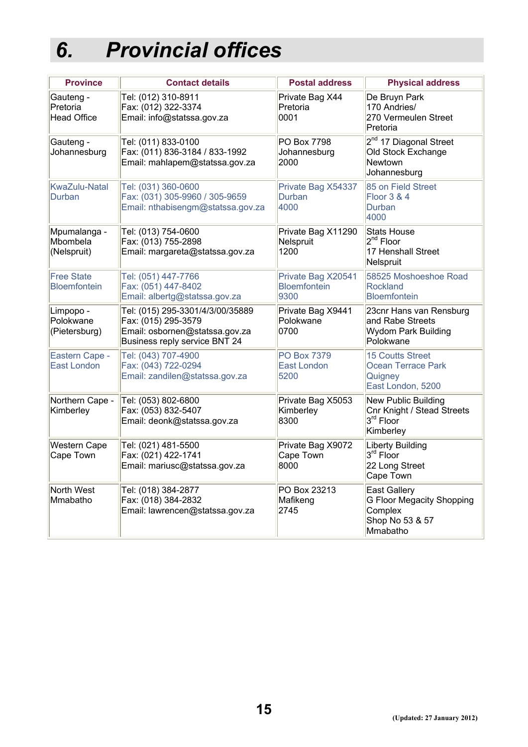# *6. Provincial offices*

| <b>Province</b>                             | <b>Contact details</b>                                                                                                     | <b>Postal address</b>                             | <b>Physical address</b>                                                                    |
|---------------------------------------------|----------------------------------------------------------------------------------------------------------------------------|---------------------------------------------------|--------------------------------------------------------------------------------------------|
| Gauteng -<br>Pretoria<br><b>Head Office</b> | Tel: (012) 310-8911<br>Fax: (012) 322-3374<br>Email: info@statssa.gov.za                                                   | Private Bag X44<br>Pretoria<br>0001               | De Bruyn Park<br>170 Andries/<br>270 Vermeulen Street<br>Pretoria                          |
| Gauteng -<br>Johannesburg                   | Tel: (011) 833-0100<br>Fax: (011) 836-3184 / 833-1992<br>Email: mahlapem@statssa.gov.za                                    | PO Box 7798<br>Johannesburg<br>2000               | 2 <sup>nd</sup> 17 Diagonal Street<br>Old Stock Exchange<br>Newtown<br>Johannesburg        |
| <b>KwaZulu-Natal</b><br>Durban              | Tel: (031) 360-0600<br>Fax: (031) 305-9960 / 305-9659<br>Email: nthabisengm@statssa.gov.za                                 | Private Bag X54337<br>Durban<br>4000              | 85 on Field Street<br><b>Floor 3 &amp; 4</b><br>Durban<br>4000                             |
| Mpumalanga -<br>Mbombela<br>(Nelspruit)     | Tel: (013) 754-0600<br>Fax: (013) 755-2898<br>Email: margareta@statssa.gov.za                                              | Private Bag X11290<br>Nelspruit<br>1200           | <b>Stats House</b><br>2 <sup>nd</sup> Floor<br>17 Henshall Street<br>Nelspruit             |
| <b>Free State</b><br><b>Bloemfontein</b>    | Tel: (051) 447-7766<br>Fax: (051) 447-8402<br>Email: albertg@statssa.gov.za                                                | Private Bag X20541<br><b>Bloemfontein</b><br>9300 | 58525 Moshoeshoe Road<br><b>Rockland</b><br><b>Bloemfontein</b>                            |
| Limpopo -<br>Polokwane<br>(Pietersburg)     | Tel: (015) 295-3301/4/3/00/35889<br>Fax: (015) 295-3579<br>Email: osbornen@statssa.gov.za<br>Business reply service BNT 24 | Private Bag X9441<br>Polokwane<br>0700            | 23cnr Hans van Rensburg<br>and Rabe Streets<br>Wydom Park Building<br>Polokwane            |
| Eastern Cape -<br><b>East London</b>        | Tel: (043) 707-4900<br>Fax: (043) 722-0294<br>Email: zandilen@statssa.gov.za                                               | <b>PO Box 7379</b><br><b>East London</b><br>5200  | <b>15 Coutts Street</b><br><b>Ocean Terrace Park</b><br>Quigney<br>East London, 5200       |
| Northern Cape -<br>Kimberley                | Tel: (053) 802-6800<br>Fax: (053) 832-5407<br>Email: deonk@statssa.gov.za                                                  | Private Bag X5053<br>Kimberley<br>8300            | New Public Building<br>Cnr Knight / Stead Streets<br>3 <sup>rd</sup> Floor<br>Kimberley    |
| <b>Western Cape</b><br>Cape Town            | Tel: (021) 481-5500<br>Fax: (021) 422-1741<br>Email: mariusc@statssa.gov.za                                                | Private Bag X9072<br>Cape Town<br>8000            | <b>Liberty Building</b><br>3 <sup>rd</sup> Floor<br>22 Long Street<br>Cape Town            |
| North West<br>Mmabatho                      | Tel: (018) 384-2877<br>Fax: (018) 384-2832<br>Email: lawrencen@statssa.gov.za                                              | PO Box 23213<br>Mafikeng<br>2745                  | <b>East Gallery</b><br>G Floor Megacity Shopping<br>Complex<br>Shop No 53 & 57<br>Mmabatho |